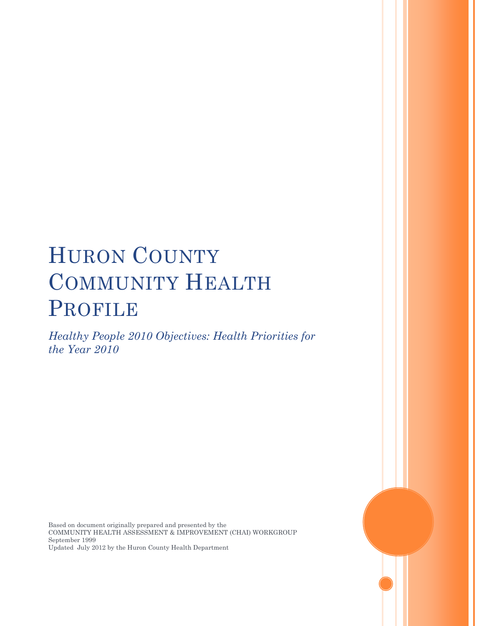# HURON COUNTY COMMUNITY HEALTH PROFILE

*Healthy People 2010 Objectives: Health Priorities for the Year 2010*

Based on document originally prepared and presented by the COMMUNITY HEALTH ASSESSMENT & IMPROVEMENT (CHAI) WORKGROUP September 1999 Updated July 2012 by the Huron County Health Department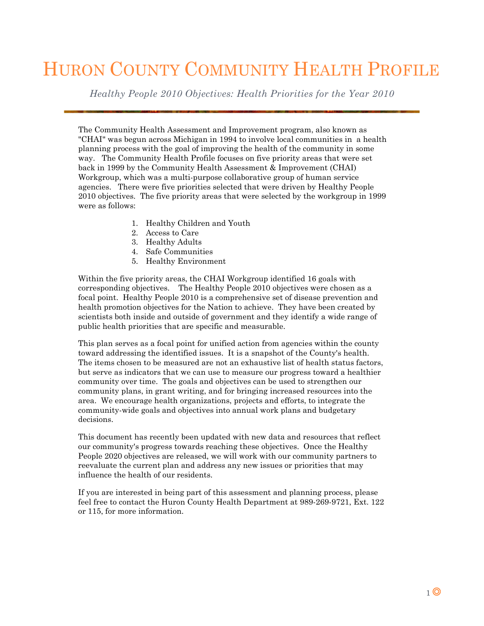## HURON COUNTY COMMUNITY HEALTH PROFILE

*Healthy People 2010 Objectives: Health Priorities for the Year 2010*

The Community Health Assessment and Improvement program, also known as "CHAI" was begun across Michigan in 1994 to involve local communities in a health planning process with the goal of improving the health of the community in some way. The Community Health Profile focuses on five priority areas that were set back in 1999 by the Community Health Assessment & Improvement (CHAI) Workgroup, which was a multi-purpose collaborative group of human service agencies. There were five priorities selected that were driven by Healthy People 2010 objectives. The five priority areas that were selected by the workgroup in 1999 were as follows:

- 1. Healthy Children and Youth
- 2. Access to Care
- 3. Healthy Adults
- 4. Safe Communities
- 5. Healthy Environment

Within the five priority areas, the CHAI Workgroup identified 16 goals with corresponding objectives. The Healthy People 2010 objectives were chosen as a focal point. Healthy People 2010 is a comprehensive set of disease prevention and health promotion objectives for the Nation to achieve. They have been created by scientists both inside and outside of government and they identify a wide range of public health priorities that are specific and measurable.

This plan serves as a focal point for unified action from agencies within the county toward addressing the identified issues. It is a snapshot of the County's health. The items chosen to be measured are not an exhaustive list of health status factors, but serve as indicators that we can use to measure our progress toward a healthier community over time. The goals and objectives can be used to strengthen our community plans, in grant writing, and for bringing increased resources into the area. We encourage health organizations, projects and efforts, to integrate the community-wide goals and objectives into annual work plans and budgetary decisions.

This document has recently been updated with new data and resources that reflect our community's progress towards reaching these objectives. Once the Healthy People 2020 objectives are released, we will work with our community partners to reevaluate the current plan and address any new issues or priorities that may influence the health of our residents.

If you are interested in being part of this assessment and planning process, please feel free to contact the Huron County Health Department at 989-269-9721, Ext. 122 or 115, for more information.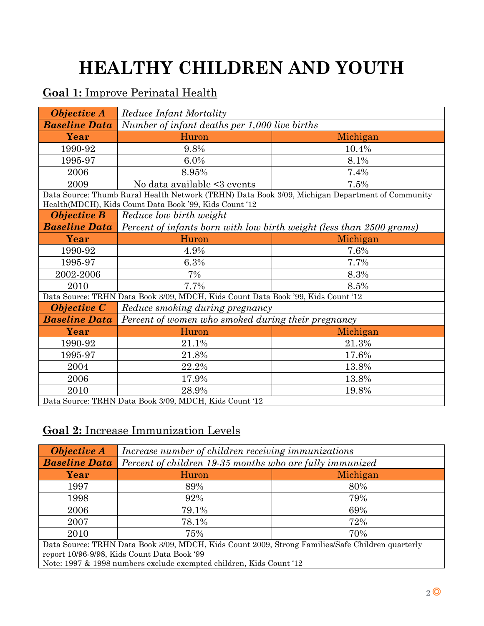# **HEALTHY CHILDREN AND YOUTH**

### **Goal 1:** Improve Perinatal Health

| <b>Objective A</b>                                     | <b>Reduce Infant Mortality</b>                                                   |                                                                                                 |
|--------------------------------------------------------|----------------------------------------------------------------------------------|-------------------------------------------------------------------------------------------------|
| <b>Baseline Data</b>                                   | Number of infant deaths per 1,000 live births                                    |                                                                                                 |
| Year                                                   | Huron                                                                            | Michigan                                                                                        |
| 1990-92                                                | 9.8%                                                                             | 10.4%                                                                                           |
| 1995-97                                                | 6.0%                                                                             | 8.1%                                                                                            |
| 2006                                                   | 8.95%                                                                            | 7.4%                                                                                            |
| 2009                                                   | No data available <3 events                                                      | 7.5%                                                                                            |
|                                                        |                                                                                  | Data Source: Thumb Rural Health Network (TRHN) Data Book 3/09, Michigan Department of Community |
|                                                        | Health(MDCH), Kids Count Data Book '99, Kids Count '12                           |                                                                                                 |
| <b>Objective B</b>                                     | Reduce low birth weight                                                          |                                                                                                 |
| <b>Baseline Data</b>                                   | Percent of infants born with low birth weight (less than 2500 grams)             |                                                                                                 |
| Year                                                   | Huron                                                                            | Michigan                                                                                        |
| 1990-92                                                | 4.9%                                                                             | 7.6%                                                                                            |
| 1995-97                                                | 6.3%                                                                             | 7.7%                                                                                            |
| 2002-2006                                              | 7%                                                                               | 8.3%                                                                                            |
| 2010                                                   | 7.7%                                                                             | 8.5%                                                                                            |
|                                                        | Data Source: TRHN Data Book 3/09, MDCH, Kids Count Data Book '99, Kids Count '12 |                                                                                                 |
| <b>Objective C</b>                                     | Reduce smoking during pregnancy                                                  |                                                                                                 |
| <b>Baseline Data</b>                                   | Percent of women who smoked during their pregnancy                               |                                                                                                 |
| Year                                                   | Huron                                                                            | Michigan                                                                                        |
| 1990-92                                                | 21.1%                                                                            | 21.3%                                                                                           |
| 1995-97                                                | 21.8%                                                                            | 17.6%                                                                                           |
| 2004                                                   | 22.2%                                                                            | 13.8%                                                                                           |
| 2006                                                   | 17.9%                                                                            | 13.8%                                                                                           |
| 2010                                                   | 28.9%                                                                            | 19.8%                                                                                           |
| Data Source: TRHN Data Book 3/09, MDCH, Kids Count '12 |                                                                                  |                                                                                                 |

### **Goal 2:** Increase Immunization Levels

| <b>Objective A</b>                                                                               | Increase number of children receiving immunizations      |          |
|--------------------------------------------------------------------------------------------------|----------------------------------------------------------|----------|
| <b>Baseline Data</b>                                                                             | Percent of children 19-35 months who are fully immunized |          |
| Year                                                                                             | Huron                                                    | Michigan |
| 1997                                                                                             | 89%                                                      | 80%      |
| 1998                                                                                             | 92%                                                      | 79%      |
| 2006                                                                                             | 79.1%                                                    | 69%      |
| 2007                                                                                             | 78.1%                                                    | 72%      |
| 2010                                                                                             | 75%                                                      | 70%      |
| Data Source: TRHN Data Book 3/09, MDCH, Kids Count 2009, Strong Families/Safe Children quarterly |                                                          |          |
| report 10/96-9/98, Kids Count Data Book '99                                                      |                                                          |          |
| Note: 1997 & 1998 numbers exclude exempted children, Kids Count '12                              |                                                          |          |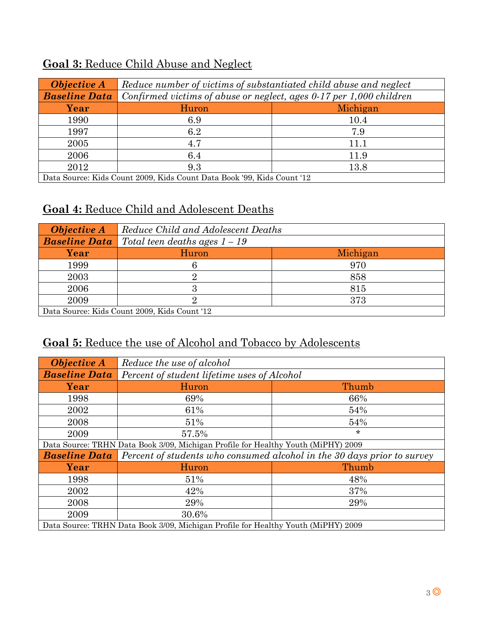| <b>Objective A</b>                                                                                                                                                                                                                                                                                    | Reduce number of victims of substantiated child abuse and neglect   |          |
|-------------------------------------------------------------------------------------------------------------------------------------------------------------------------------------------------------------------------------------------------------------------------------------------------------|---------------------------------------------------------------------|----------|
| <b>Baseline Data</b>                                                                                                                                                                                                                                                                                  | Confirmed victims of abuse or neglect, ages 0-17 per 1,000 children |          |
| Year                                                                                                                                                                                                                                                                                                  | Huron                                                               | Michigan |
| 1990                                                                                                                                                                                                                                                                                                  | 6.9                                                                 | 10.4     |
| 1997                                                                                                                                                                                                                                                                                                  | 6.2                                                                 | 7.9      |
| 2005                                                                                                                                                                                                                                                                                                  | 4.7                                                                 | 11.1     |
| 2006                                                                                                                                                                                                                                                                                                  | 6.4                                                                 | 11.9     |
| 2012                                                                                                                                                                                                                                                                                                  | 9.3                                                                 | 13.8     |
| $D_{\text{obs}}$ $\beta_{\text{anmon}}$ $U_{\text{obs}}$ $\beta_{\text{on}}$ $\beta_{\text{on}}$ $\beta_{\text{on}}$ $U_{\text{obs}}$ $\beta_{\text{on}}$ $\beta_{\text{on}}$ $\beta_{\text{on}}$ $\beta_{\text{on}}$ $\beta_{\text{on}}$ $\beta_{\text{on}}$ $\beta_{\text{on}}$ $\beta_{\text{on}}$ |                                                                     |          |

## **Goal 3:** Reduce Child Abuse and Neglect

Data Source: Kids Count 2009, Kids Count Data Book '99, Kids Count '12

## **Goal 4:** Reduce Child and Adolescent Deaths

| <b>Objective A</b>                           | Reduce Child and Adolescent Deaths |          |
|----------------------------------------------|------------------------------------|----------|
| <b>Baseline Data</b>                         | Total teen deaths ages $1-19$      |          |
| Year                                         | Huron                              | Michigan |
| 1999                                         |                                    | 970      |
| 2003                                         |                                    | 858      |
| 2006                                         | 3                                  | 815      |
| 2009                                         |                                    | 373      |
| Data Source: Kids Count 2009, Kids Count '12 |                                    |          |

### **Goal 5:** Reduce the use of Alcohol and Tobacco by Adolescents

| <b>Objective A</b>                                                                | Reduce the use of alcohol                                               |         |
|-----------------------------------------------------------------------------------|-------------------------------------------------------------------------|---------|
| <b>Baseline Data</b>                                                              | Percent of student lifetime uses of Alcohol                             |         |
| Year                                                                              | Huron                                                                   | Thumb   |
| 1998                                                                              | 69%                                                                     | 66%     |
| 2002                                                                              | 61%                                                                     | 54%     |
| 2008                                                                              | 51%                                                                     | 54%     |
| 2009                                                                              | 57.5%                                                                   | $\star$ |
| Data Source: TRHN Data Book 3/09, Michigan Profile for Healthy Youth (MiPHY) 2009 |                                                                         |         |
| <b>Baseline Data</b>                                                              | Percent of students who consumed alcohol in the 30 days prior to survey |         |
| Year                                                                              | Huron                                                                   | Thumb   |
| 1998                                                                              | 51%                                                                     | 48%     |
| 2002                                                                              | 42%                                                                     | 37%     |
| 2008                                                                              | 29%                                                                     | 29%     |
| 2009                                                                              | 30.6%                                                                   |         |
| Data Source: TRHN Data Book 3/09, Michigan Profile for Healthy Youth (MiPHY) 2009 |                                                                         |         |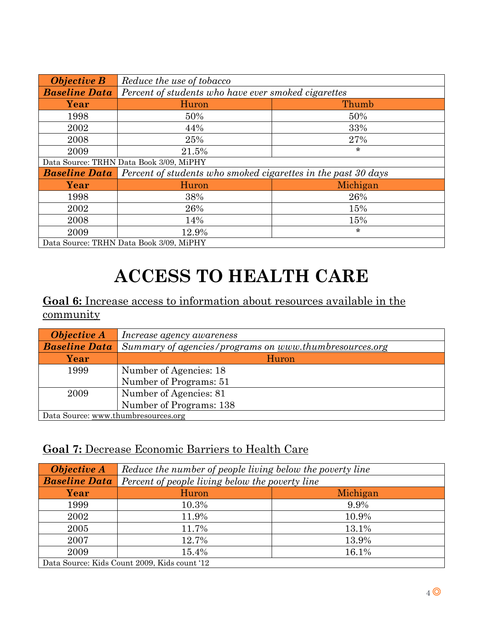| <b>Objective B</b>                      | Reduce the use of tobacco                                                 |          |
|-----------------------------------------|---------------------------------------------------------------------------|----------|
| <b>Baseline Data</b>                    | Percent of students who have ever smoked cigarettes                       |          |
| Year                                    | Huron                                                                     | Thumb    |
| 1998                                    | 50%                                                                       | 50%      |
| 2002                                    | 44%                                                                       | 33%      |
| 2008                                    | 25%                                                                       | 27%      |
| 2009                                    | 21.5%                                                                     | $\star$  |
| Data Source: TRHN Data Book 3/09, MiPHY |                                                                           |          |
| <b>Baseline Data</b>                    | Percent of students who smoked cigarettes in the past $30 \, \text{days}$ |          |
| Year                                    | Huron                                                                     | Michigan |
| 1998                                    | 38%                                                                       | 26%      |
| 2002                                    | 26%                                                                       | 15%      |
| 2008                                    | 14%                                                                       | 15%      |
| 2009                                    | 12.9%                                                                     | $\star$  |
| Data Source: TRHN Data Book 3/09, MiPHY |                                                                           |          |

## **ACCESS TO HEALTH CARE**

### **Goal 6:** Increase access to information about resources available in the community

| <b>Objective A</b>                  | Increase agency awareness                              |
|-------------------------------------|--------------------------------------------------------|
| <b>Baseline Data</b>                | Summary of agencies/programs on www.thumbresources.org |
| Year                                | Huron                                                  |
| 1999                                | Number of Agencies: 18                                 |
|                                     | Number of Programs: 51                                 |
| 2009                                | Number of Agencies: 81                                 |
|                                     | Number of Programs: 138                                |
| Data Source: www.thumbresources.org |                                                        |

#### **Goal 7:** Decrease Economic Barriers to Health Care

| <b>Objective A</b>                           | Reduce the number of people living below the poverty line |          |
|----------------------------------------------|-----------------------------------------------------------|----------|
| <b>Baseline Data</b>                         | Percent of people living below the poverty line           |          |
| Year                                         | Huron                                                     | Michigan |
| 1999                                         | 10.3%                                                     | 9.9%     |
| 2002                                         | 11.9%                                                     | 10.9%    |
| 2005                                         | 11.7%                                                     | 13.1%    |
| 2007                                         | 12.7%                                                     | 13.9%    |
| 2009                                         | 15.4%                                                     | 16.1%    |
| Data Source: Kids Count 2009, Kids count '12 |                                                           |          |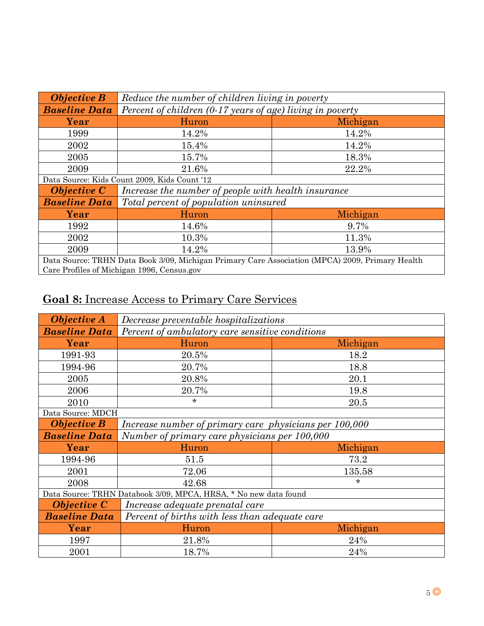| <b>Objective B</b>                                                                              | Reduce the number of children living in poverty             |          |
|-------------------------------------------------------------------------------------------------|-------------------------------------------------------------|----------|
| <b>Baseline Data</b>                                                                            | Percent of children $(0.17$ years of age) living in poverty |          |
| Year                                                                                            | Huron                                                       | Michigan |
| 1999                                                                                            | 14.2%                                                       | 14.2%    |
| 2002                                                                                            | 15.4%                                                       | 14.2%    |
| 2005                                                                                            | 15.7%                                                       | 18.3%    |
| 2009                                                                                            | 21.6%                                                       | 22.2%    |
| Data Source: Kids Count 2009, Kids Count '12                                                    |                                                             |          |
| <b>Objective C</b>                                                                              | Increase the number of people with health insurance         |          |
| <b>Baseline Data</b>                                                                            | Total percent of population uninsured                       |          |
| Year                                                                                            | Huron                                                       | Michigan |
| 1992                                                                                            | 14.6%                                                       | 9.7%     |
| 2002                                                                                            | 10.3%<br>11.3%                                              |          |
| 2009                                                                                            | 14.2%<br>13.9%                                              |          |
| Data Source: TRHN Data Book 3/09, Michigan Primary Care Association (MPCA) 2009, Primary Health |                                                             |          |
| Care Profiles of Michigan 1996, Census.gov                                                      |                                                             |          |

## **Goal 8:** Increase Access to Primary Care Services

| <b>Objective A</b>                                               | Decrease preventable hospitalizations                  |          |
|------------------------------------------------------------------|--------------------------------------------------------|----------|
| <b>Baseline Data</b>                                             | Percent of ambulatory care sensitive conditions        |          |
| Year                                                             | Huron                                                  | Michigan |
| 1991-93                                                          | 20.5%                                                  | 18.2     |
| 1994-96                                                          | 20.7%                                                  | 18.8     |
| 2005                                                             | 20.8%                                                  | 20.1     |
| 2006                                                             | 20.7%                                                  | 19.8     |
| 2010                                                             | $\star$                                                | 20.5     |
| Data Source: MDCH                                                |                                                        |          |
| <b>Objective B</b>                                               | Increase number of primary care physicians per 100,000 |          |
| <b>Baseline Data</b>                                             | Number of primary care physicians per 100,000          |          |
| Year                                                             | Huron                                                  | Michigan |
| 1994-96                                                          | 51.5                                                   | 73.2     |
| 2001                                                             | 72.06                                                  | 135.58   |
| 2008                                                             | 42.68                                                  | $\star$  |
| Data Source: TRHN Databook 3/09, MPCA, HRSA, * No new data found |                                                        |          |
| <b>Objective C</b>                                               | Increase adequate prenatal care                        |          |
| <b>Baseline Data</b>                                             | Percent of births with less than adequate care         |          |
| Year                                                             | Huron                                                  | Michigan |
| 1997                                                             | 21.8%                                                  | 24%      |
| 2001                                                             | 18.7%                                                  | 24%      |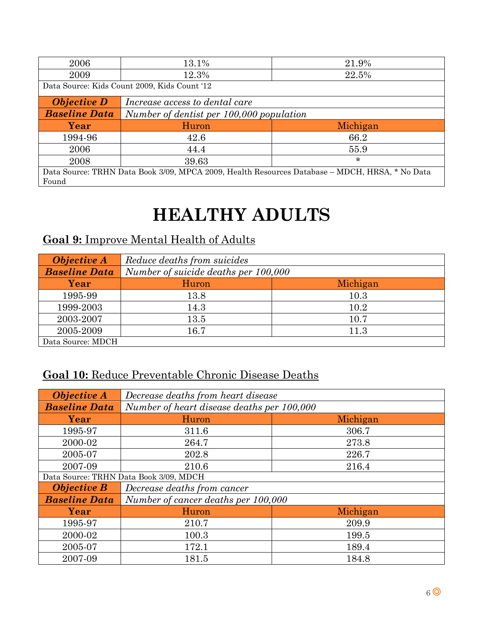| 2006                                         | 13.1%                                    | 21.9%                                                                                          |
|----------------------------------------------|------------------------------------------|------------------------------------------------------------------------------------------------|
| 2009                                         | 12.3%                                    | 22.5%                                                                                          |
| Data Source: Kids Count 2009, Kids Count '12 |                                          |                                                                                                |
| <b>Objective D</b>                           | Increase access to dental care           |                                                                                                |
| <b>Baseline Data</b>                         | Number of dentist per 100,000 population |                                                                                                |
|                                              |                                          |                                                                                                |
| Year                                         | Huron                                    | Michigan                                                                                       |
| 1994-96                                      | 42.6                                     | 66.2                                                                                           |
| 2006                                         | 44.4                                     | 55.9                                                                                           |
| 2008                                         | 39.63                                    | $\star$                                                                                        |
|                                              |                                          | Data Source: TRHN Data Book 3/09, MPCA 2009, Health Resources Database - MDCH, HRSA, * No Data |

## **HEALTHY ADULTS**

### **Goal 9:** Improve Mental Health of Adults

| <b>Objective A</b>   | Reduce deaths from suicides          |          |
|----------------------|--------------------------------------|----------|
| <b>Baseline Data</b> | Number of suicide deaths per 100,000 |          |
| Year                 | Huron                                | Michigan |
| 1995-99              | 13.8                                 | 10.3     |
| 1999-2003            | 14.3                                 | 10.2     |
| 2003-2007            | 13.5                                 | 10.7     |
| 2005-2009            | 16.7                                 | 11.3     |
| Data Source: MDCH    |                                      |          |

### **Goal 10:** Reduce Preventable Chronic Disease Deaths

| <b>Objective A</b>                     | Decrease deaths from heart disease         |          |
|----------------------------------------|--------------------------------------------|----------|
| <b>Baseline Data</b>                   | Number of heart disease deaths per 100,000 |          |
| Year                                   | Huron                                      | Michigan |
| 1995-97                                | 311.6                                      | 306.7    |
| 2000-02                                | 264.7                                      | 273.8    |
| 2005-07                                | 202.8                                      | 226.7    |
| 2007-09                                | 210.6                                      | 216.4    |
| Data Source: TRHN Data Book 3/09, MDCH |                                            |          |
| <b>Objective B</b>                     | Decrease deaths from cancer                |          |
| <b>Baseline Data</b>                   | Number of cancer deaths per 100,000        |          |
| Year                                   | Huron                                      | Michigan |
| 1995-97                                | 210.7                                      | 209.9    |
| 2000-02                                | 100.3                                      | 199.5    |
| 2005-07                                | 172.1                                      | 189.4    |
| 2007-09                                | 181.5                                      | 184.8    |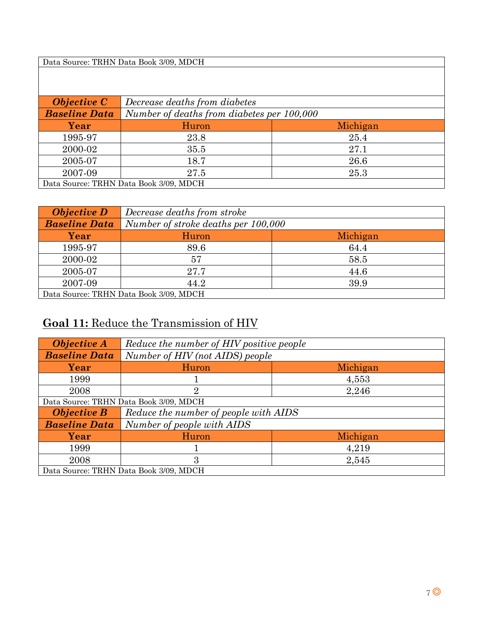Data Source: TRHN Data Book 3/09, MDCH

| <b>Objective C</b>                    | Decrease deaths from diabetes              |          |
|---------------------------------------|--------------------------------------------|----------|
| <b>Baseline Data</b>                  | Number of deaths from diabetes per 100,000 |          |
| Year                                  | Huron                                      | Michigan |
| 1995-97                               | 23.8                                       | 25.4     |
| 2000-02                               | 35.5                                       | 27.1     |
| 2005-07                               | 18.7                                       | 26.6     |
| 2007-09                               | 27.5                                       | 25.3     |
| Data Source: TRHN Data Book 3/09 MDCH |                                            |          |

Data Source: TRHN Data Book 3/09, MDCH

| <b>Objective D</b>                     | Decrease deaths from stroke         |          |
|----------------------------------------|-------------------------------------|----------|
| <b>Baseline Data</b>                   | Number of stroke deaths per 100,000 |          |
| Year                                   | Huron                               | Michigan |
| 1995-97                                | 89.6                                | 64.4     |
| 2000-02                                | 57                                  | 58.5     |
| 2005-07                                | 27.7                                | 44.6     |
| 2007-09                                | 44.2                                | 39.9     |
| Data Source: TRHN Data Book 3/09, MDCH |                                     |          |

### **Goal 11:** Reduce the Transmission of HIV

| <b>Objective A</b>                     | Reduce the number of HIV positive people |          |
|----------------------------------------|------------------------------------------|----------|
| <b>Baseline Data</b>                   | Number of HIV (not AIDS) people          |          |
| Year                                   | Huron                                    | Michigan |
| 1999                                   |                                          | 4,553    |
| 2008                                   | 2                                        | 2,246    |
| Data Source: TRHN Data Book 3/09, MDCH |                                          |          |
| <b>Objective B</b>                     | Reduce the number of people with AIDS    |          |
| <b>Baseline Data</b>                   | Number of people with AIDS               |          |
| Year                                   | Huron                                    | Michigan |
| 1999                                   |                                          | 4,219    |
| 2008                                   | 3                                        | 2,545    |
| Data Source: TRHN Data Book 3/09, MDCH |                                          |          |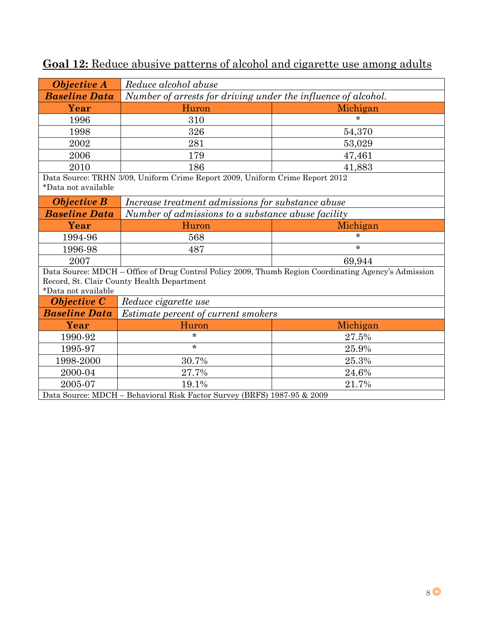| <b>Objective A</b>                                                                                                                                                        | Reduce alcohol abuse                                          |          |
|---------------------------------------------------------------------------------------------------------------------------------------------------------------------------|---------------------------------------------------------------|----------|
| <b>Baseline Data</b>                                                                                                                                                      | Number of arrests for driving under the influence of alcohol. |          |
| Year                                                                                                                                                                      | Huron                                                         | Michigan |
| 1996                                                                                                                                                                      | 310                                                           | $\star$  |
| 1998                                                                                                                                                                      | 326                                                           | 54,370   |
| 2002                                                                                                                                                                      | 281                                                           | 53,029   |
| 2006                                                                                                                                                                      | 179                                                           | 47,461   |
| 2010                                                                                                                                                                      | 186                                                           | 41,883   |
| Data Source: TRHN 3/09, Uniform Crime Report 2009, Uniform Crime Report 2012<br>*Data not available                                                                       |                                                               |          |
| <b>Objective B</b>                                                                                                                                                        | Increase treatment admissions for substance abuse             |          |
| <b>Baseline Data</b>                                                                                                                                                      | Number of admissions to a substance abuse facility            |          |
| Year                                                                                                                                                                      | Huron                                                         | Michigan |
| 1994-96                                                                                                                                                                   | 568                                                           | $\star$  |
| 1996-98                                                                                                                                                                   | 487                                                           | $\star$  |
| 2007                                                                                                                                                                      |                                                               | 69,944   |
| Data Source: MDCH - Office of Drug Control Policy 2009, Thumb Region Coordinating Agency's Admission<br>Record, St. Clair County Health Department<br>*Data not available |                                                               |          |
| <b>Objective C</b>                                                                                                                                                        | Reduce cigarette use                                          |          |
| <b>Baseline Data</b>                                                                                                                                                      | Estimate percent of current smokers                           |          |
| Year                                                                                                                                                                      | Huron                                                         | Michigan |
| 1990-92                                                                                                                                                                   | $\star$                                                       | 27.5%    |
| 1995-97                                                                                                                                                                   | $\star$                                                       | 25.9%    |
| 1998-2000                                                                                                                                                                 | 30.7%                                                         | 25.3%    |
| 2000-04                                                                                                                                                                   | 27.7%                                                         | 24.6%    |
| 2005-07                                                                                                                                                                   | 19.1%                                                         | 21.7%    |
| Data Source: MDCH - Behavioral Risk Factor Survey (BRFS) 1987-95 & 2009                                                                                                   |                                                               |          |

## **Goal 12:** Reduce abusive patterns of alcohol and cigarette use among adults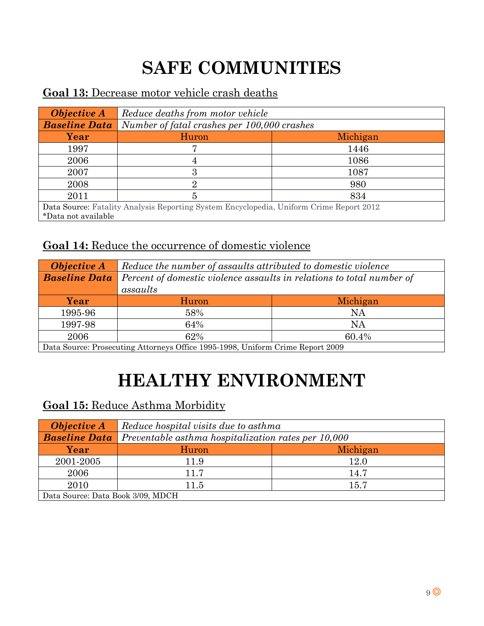# **SAFE COMMUNITIES**

### **Goal 13:** Decrease motor vehicle crash deaths

| <b>Objective A</b>                                                                      | Reduce deaths from motor vehicle            |          |
|-----------------------------------------------------------------------------------------|---------------------------------------------|----------|
| <b>Baseline Data</b>                                                                    | Number of fatal crashes per 100,000 crashes |          |
| Year                                                                                    | Huron                                       | Michigan |
| 1997                                                                                    |                                             | 1446     |
| 2006                                                                                    |                                             | 1086     |
| 2007                                                                                    | 3                                           | 1087     |
| 2008                                                                                    | 9.                                          | 980      |
| 2011                                                                                    | 5                                           | 834      |
| Data Source: Fatality Analysis Reporting System Encyclopedia, Uniform Crime Report 2012 |                                             |          |
| *Data not available                                                                     |                                             |          |

### **Goal 14:** Reduce the occurrence of domestic violence

| <b>Objective A</b>                    | Reduce the number of assaults attributed to domestic violence         |                                  |
|---------------------------------------|-----------------------------------------------------------------------|----------------------------------|
| <b>Baseline Data</b>                  | Percent of domestic violence assaults in relations to total number of |                                  |
|                                       | assaults                                                              |                                  |
| Year                                  | Huron                                                                 | Michigan                         |
| 1995-96                               | 58%                                                                   | NA                               |
| 1997-98                               | 64%                                                                   | NA                               |
| 2006                                  | 62%                                                                   | 60.4%                            |
| $\mathbf{D}$ $\alpha$<br><sup>n</sup> | $\cap$ $\alpha$<br><b>SAN SAN TT 'S</b><br>$\mathbf{A}$               | $\alpha$ . $\mathbf n$<br>0.0000 |

Data Source: Prosecuting Attorneys Office 1995-1998, Uniform Crime Report 2009

## **HEALTHY ENVIRONMENT**

#### **Goal 15:** Reduce Asthma Morbidity

| <b>Objective A</b>                | Reduce hospital visits due to asthma                |          |
|-----------------------------------|-----------------------------------------------------|----------|
| <b>Baseline Data</b>              | Preventable asthma hospitalization rates per 10,000 |          |
| Year                              | Huron                                               | Michigan |
| 2001-2005                         | 11.9                                                | 12.0     |
| 2006                              | 11.7                                                | 14.7     |
| 2010                              | 11.5                                                | 15.7     |
| Data Source: Data Book 3/09, MDCH |                                                     |          |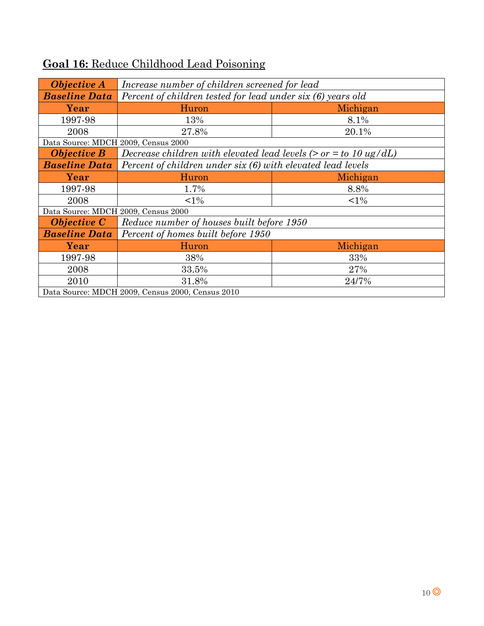| <b>Objective A</b>                               | Increase number of children screened for lead                       |          |  |
|--------------------------------------------------|---------------------------------------------------------------------|----------|--|
| <b>Baseline Data</b>                             | Percent of children tested for lead under six (6) years old         |          |  |
| Year                                             | Huron<br>Michigan                                                   |          |  |
|                                                  |                                                                     |          |  |
| 1997-98                                          | 13%                                                                 | 8.1%     |  |
| 2008                                             | 27.8%                                                               | 20.1%    |  |
|                                                  | Data Source: MDCH 2009, Census 2000                                 |          |  |
| <b>Objective B</b>                               | Decrease children with elevated lead levels ( $>$ or = to 10 ug/dL) |          |  |
| <b>Baseline Data</b>                             | Percent of children under six (6) with elevated lead levels         |          |  |
| Year                                             | Huron                                                               | Michigan |  |
| 1997-98                                          | 1.7%                                                                | 8.8%     |  |
| 2008                                             | ${<}1\%$                                                            | $1\%$    |  |
| Data Source: MDCH 2009, Census 2000              |                                                                     |          |  |
| <b>Objective C</b>                               | Reduce number of houses built before 1950                           |          |  |
| <b>Baseline Data</b>                             | Percent of homes built before 1950                                  |          |  |
| Year                                             | Huron                                                               | Michigan |  |
| 1997-98                                          | 38%                                                                 | 33%      |  |
| 2008                                             | 33.5%                                                               | 27%      |  |
| 2010                                             | 31.8%                                                               | 24/7%    |  |
| Data Source: MDCH 2009, Census 2000, Census 2010 |                                                                     |          |  |

## **Goal 16:** Reduce Childhood Lead Poisoning